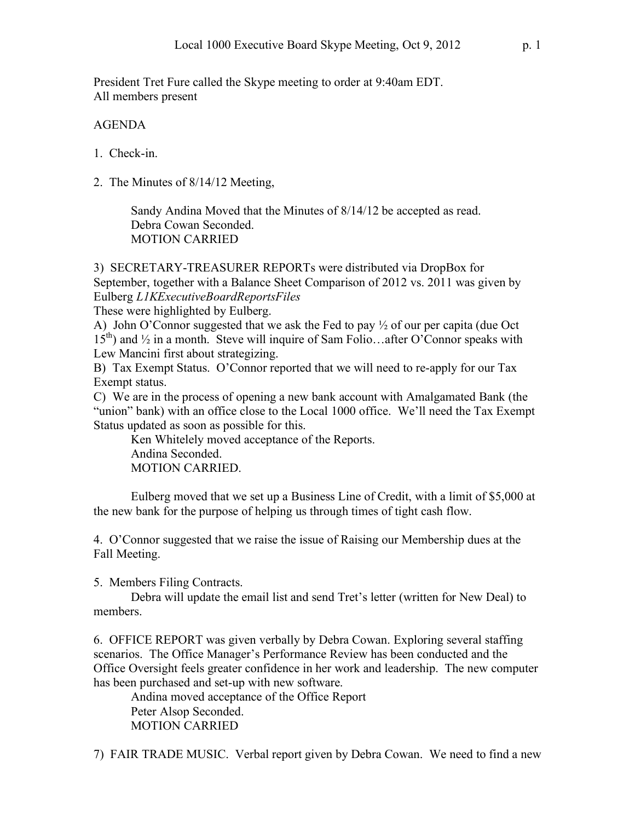President Tret Fure called the Skype meeting to order at 9:40am EDT. All members present

## AGENDA

- 1. Check-in.
- 2. The Minutes of 8/14/12 Meeting,

Sandy Andina Moved that the Minutes of 8/14/12 be accepted as read. Debra Cowan Seconded. MOTION CARRIED

3) SECRETARY-TREASURER REPORTs were distributed via DropBox for September, together with a Balance Sheet Comparison of 2012 vs. 2011 was given by Eulberg *L1KExecutiveBoardReportsFiles*

These were highlighted by Eulberg.

A) John O'Connor suggested that we ask the Fed to pay ½ of our per capita (due Oct  $15<sup>th</sup>$ ) and  $\frac{1}{2}$  in a month. Steve will inquire of Sam Folio...after O'Connor speaks with Lew Mancini first about strategizing.

B) Tax Exempt Status. O'Connor reported that we will need to re-apply for our Tax Exempt status.

C) We are in the process of opening a new bank account with Amalgamated Bank (the "union" bank) with an office close to the Local 1000 office. We'll need the Tax Exempt Status updated as soon as possible for this.

Ken Whitelely moved acceptance of the Reports. Andina Seconded. MOTION CARRIED.

Eulberg moved that we set up a Business Line of Credit, with a limit of \$5,000 at the new bank for the purpose of helping us through times of tight cash flow.

4. O'Connor suggested that we raise the issue of Raising our Membership dues at the Fall Meeting.

5. Members Filing Contracts.

Debra will update the email list and send Tret's letter (written for New Deal) to members.

6. OFFICE REPORT was given verbally by Debra Cowan. Exploring several staffing scenarios. The Office Manager's Performance Review has been conducted and the Office Oversight feels greater confidence in her work and leadership. The new computer has been purchased and set-up with new software.

Andina moved acceptance of the Office Report Peter Alsop Seconded. MOTION CARRIED

7) FAIR TRADE MUSIC. Verbal report given by Debra Cowan. We need to find a new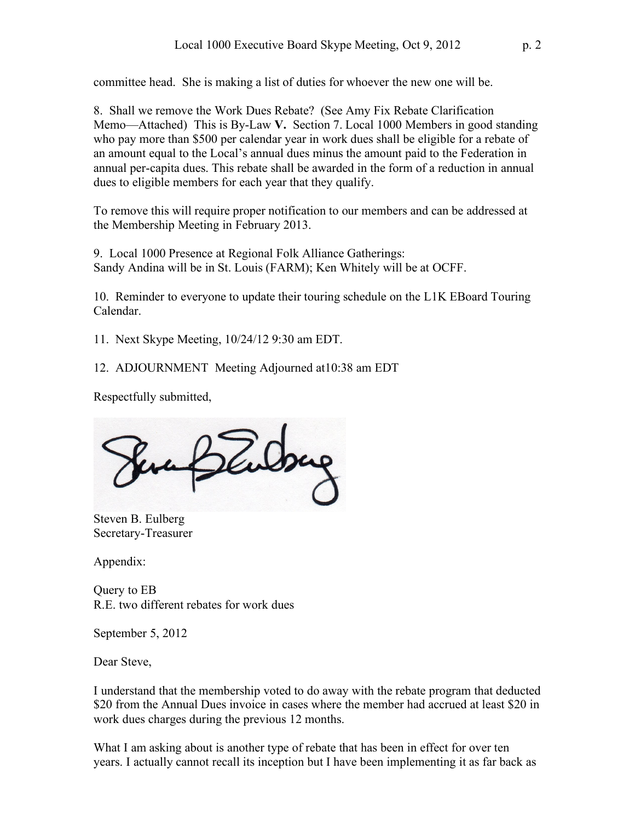committee head. She is making a list of duties for whoever the new one will be.

8. Shall we remove the Work Dues Rebate? (See Amy Fix Rebate Clarification Memo—Attached) This is By-Law **V.** Section 7. Local 1000 Members in good standing who pay more than \$500 per calendar year in work dues shall be eligible for a rebate of an amount equal to the Local's annual dues minus the amount paid to the Federation in annual per-capita dues. This rebate shall be awarded in the form of a reduction in annual dues to eligible members for each year that they qualify.

To remove this will require proper notification to our members and can be addressed at the Membership Meeting in February 2013.

9. Local 1000 Presence at Regional Folk Alliance Gatherings: Sandy Andina will be in St. Louis (FARM); Ken Whitely will be at OCFF.

10. Reminder to everyone to update their touring schedule on the L1K EBoard Touring Calendar.

11. Next Skype Meeting, 10/24/12 9:30 am EDT.

12. ADJOURNMENT Meeting Adjourned at10:38 am EDT

Respectfully submitted,

endrug

Steven B. Eulberg Secretary-Treasurer

Appendix:

Query to EB R.E. two different rebates for work dues

September 5, 2012

Dear Steve,

I understand that the membership voted to do away with the rebate program that deducted \$20 from the Annual Dues invoice in cases where the member had accrued at least \$20 in work dues charges during the previous 12 months.

What I am asking about is another type of rebate that has been in effect for over ten years. I actually cannot recall its inception but I have been implementing it as far back as